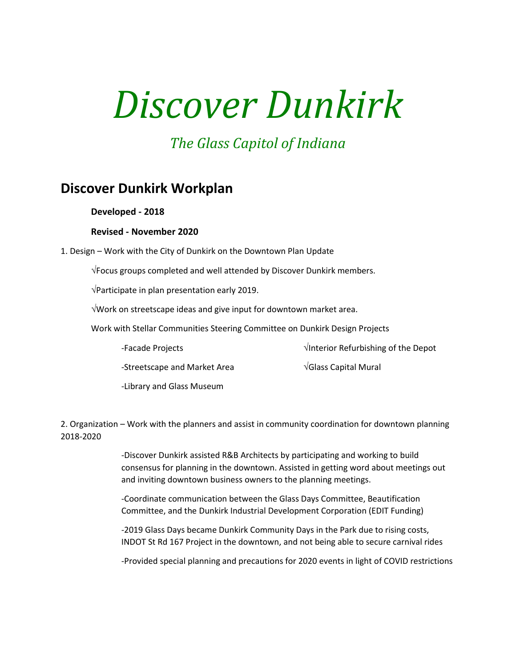# *Discover Dunkirk*

## *The Glass Capitol of Indiana*

## **Discover Dunkirk Workplan**

### **Developed - 2018**

#### **Revised - November 2020**

1. Design – Work with the City of Dunkirk on the Downtown Plan Update

Focus groups completed and well attended by Discover Dunkirk members.

 $\sqrt{$ Participate in plan presentation early 2019.

Work on streetscape ideas and give input for downtown market area.

Work with Stellar Communities Steering Committee on Dunkirk Design Projects

-Facade Projects **Interior Refurbishing of the Depot** 

-Streetscape and Market Area  $\sqrt{S}$  Glass Capital Mural

-Library and Glass Museum

2. Organization – Work with the planners and assist in community coordination for downtown planning 2018-2020

> -Discover Dunkirk assisted R&B Architects by participating and working to build consensus for planning in the downtown. Assisted in getting word about meetings out and inviting downtown business owners to the planning meetings.

-Coordinate communication between the Glass Days Committee, Beautification Committee, and the Dunkirk Industrial Development Corporation (EDIT Funding)

-2019 Glass Days became Dunkirk Community Days in the Park due to rising costs, INDOT St Rd 167 Project in the downtown, and not being able to secure carnival rides

-Provided special planning and precautions for 2020 events in light of COVID restrictions